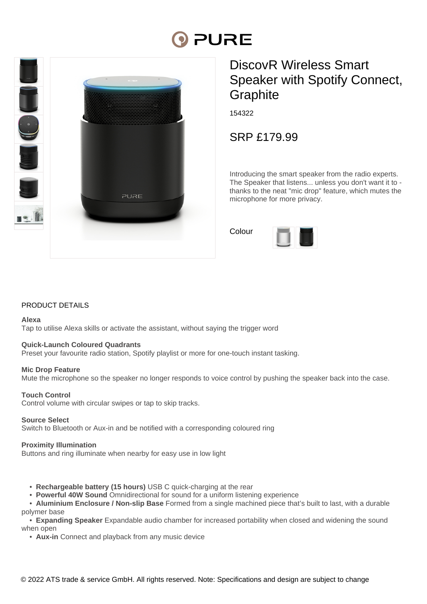# PURE



## DiscovR Wireless Smart Speaker with Spotify Connect, **Graphite**

154322

SRP £179.99

Introducing the smart speaker from the radio experts. The Speaker that listens... unless you don't want it to thanks to the neat "mic drop" feature, which mutes the microphone for more privacy.

| Colour |  |
|--------|--|
|        |  |

#### PRODUCT DETAILS

#### **Alexa**

Tap to utilise Alexa skills or activate the assistant, without saying the trigger word

#### **Quick-Launch Coloured Quadrants**

Preset your favourite radio station, Spotify playlist or more for one-touch instant tasking.

#### **Mic Drop Feature**

Mute the microphone so the speaker no longer responds to voice control by pushing the speaker back into the case.

#### **Touch Control**

Control volume with circular swipes or tap to skip tracks.

#### **Source Select**

Switch to Bluetooth or Aux-in and be notified with a corresponding coloured ring

#### **Proximity Illumination**

Buttons and ring illuminate when nearby for easy use in low light

- **Rechargeable battery (15 hours)** USB C quick-charging at the rear
- **Powerful 40W Sound** Omnidirectional for sound for a uniform listening experience
- **Aluminium Enclosure / Non-slip Base** Formed from a single machined piece that's built to last, with a durable polymer base
- **Expanding Speaker** Expandable audio chamber for increased portability when closed and widening the sound when open
	- **Aux-in** Connect and playback from any music device